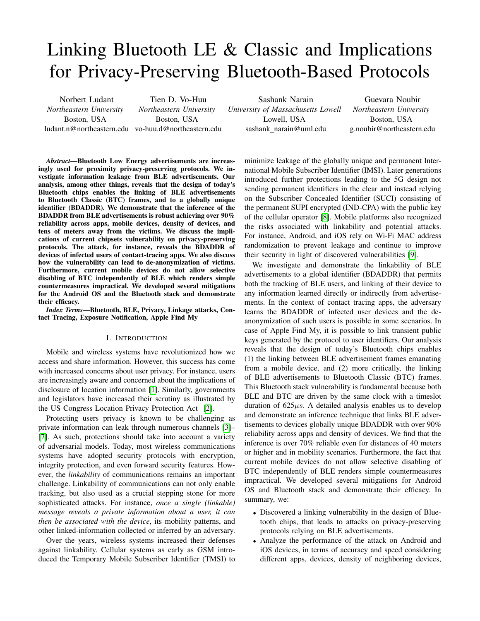# Linking Bluetooth LE & Classic and Implications for Privacy-Preserving Bluetooth-Based Protocols

Norbert Ludant *Northeastern University* Boston, USA ludant.n@northeastern.edu vo-huu.d@northeastern.edu Tien D. Vo-Huu *Northeastern University* Boston, USA

Sashank Narain *University of Massachusetts Lowell* Lowell, USA sashank\_narain@uml.edu

Guevara Noubir *Northeastern University* Boston, USA g.noubir@northeastern.edu

*Abstract*—Bluetooth Low Energy advertisements are increasingly used for proximity privacy-preserving protocols. We investigate information leakage from BLE advertisements. Our analysis, among other things, reveals that the design of today's Bluetooth chips enables the linking of BLE advertisements to Bluetooth Classic (BTC) frames, and to a globally unique identifier (BDADDR). We demonstrate that the inference of the BDADDR from BLE advertisements is robust achieving over 90% reliability across apps, mobile devices, density of devices, and tens of meters away from the victims. We discuss the implications of current chipsets vulnerability on privacy-preserving protocols. The attack, for instance, reveals the BDADDR of devices of infected users of contact-tracing apps. We also discuss how the vulnerability can lead to de-anonymization of victims. Furthermore, current mobile devices do not allow selective disabling of BTC independently of BLE which renders simple countermeasures impractical. We developed several mitigations for the Android OS and the Bluetooth stack and demonstrate their efficacy.

*Index Terms*—Bluetooth, BLE, Privacy, Linkage attacks, Contact Tracing, Exposure Notification, Apple Find My

## I. INTRODUCTION

Mobile and wireless systems have revolutionized how we access and share information. However, this success has come with increased concerns about user privacy. For instance, users are increasingly aware and concerned about the implications of disclosure of location information [\[1\]](#page-13-0). Similarly, governments and legislators have increased their scrutiny as illustrated by the US Congress Location Privacy Protection Act [\[2\]](#page-13-1).

Protecting users privacy is known to be challenging as private information can leak through numerous channels [\[3\]](#page-13-2)– [\[7\]](#page-13-3). As such, protections should take into account a variety of adversarial models. Today, most wireless communications systems have adopted security protocols with encryption, integrity protection, and even forward security features. However, the *linkability* of communications remains an important challenge. Linkability of communications can not only enable tracking, but also used as a crucial stepping stone for more sophisticated attacks. For instance, *once a single (linkable) message reveals a private information about a user, it can then be associated with the device*, its mobility patterns, and other linked-information collected or inferred by an adversary.

Over the years, wireless systems increased their defenses against linkability. Cellular systems as early as GSM introduced the Temporary Mobile Subscriber Identifier (TMSI) to minimize leakage of the globally unique and permanent International Mobile Subscriber Identifier (IMSI). Later generations introduced further protections leading to the 5G design not sending permanent identifiers in the clear and instead relying on the Subscriber Concealed Identifier (SUCI) consisting of the permanent SUPI encrypted (IND-CPA) with the public key of the cellular operator [\[8\]](#page-13-4). Mobile platforms also recognized the risks associated with linkability and potential attacks. For instance, Android, and iOS rely on Wi-Fi MAC address randomization to prevent leakage and continue to improve their security in light of discovered vulnerabilities [\[9\]](#page-13-5).

We investigate and demonstrate the linkability of BLE advertisements to a global identifier (BDADDR) that permits both the tracking of BLE users, and linking of their device to any information learned directly or indirectly from advertisements. In the context of contact tracing apps, the adversary learns the BDADDR of infected user devices and the deanonymization of such users is possible in some scenarios. In case of Apple Find My, it is possible to link transient public keys generated by the protocol to user identifiers. Our analysis reveals that the design of today's Bluetooth chips enables (1) the linking between BLE advertisement frames emanating from a mobile device, and (2) more critically, the linking of BLE advertisements to Bluetooth Classic (BTC) frames. This Bluetooth stack vulnerability is fundamental because both BLE and BTC are driven by the same clock with a timeslot duration of  $625\mu s$ . A detailed analysis enables us to develop and demonstrate an inference technique that links BLE advertisements to devices globally unique BDADDR with over 90% reliability across apps and density of devices. We find that the inference is over 70% reliable even for distances of 40 meters or higher and in mobility scenarios. Furthermore, the fact that current mobile devices do not allow selective disabling of BTC independently of BLE renders simple countermeasures impractical. We developed several mitigations for Android OS and Bluetooth stack and demonstrate their efficacy. In summary, we:

- Discovered a linking vulnerability in the design of Bluetooth chips, that leads to attacks on privacy-preserving protocols relying on BLE advertisements.
- Analyze the performance of the attack on Android and iOS devices, in terms of accuracy and speed considering different apps, devices, density of neighboring devices,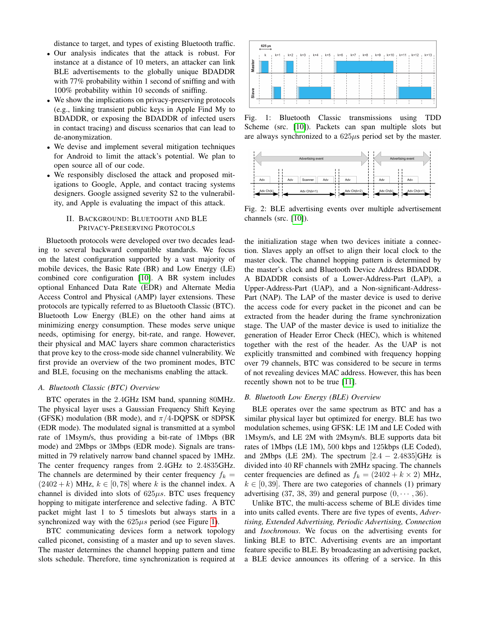distance to target, and types of existing Bluetooth traffic.

- Our analysis indicates that the attack is robust. For instance at a distance of 10 meters, an attacker can link BLE advertisements to the globally unique BDADDR with 77% probability within 1 second of sniffing and with 100% probability within 10 seconds of sniffing.
- We show the implications on privacy-preserving protocols (e.g., linking transient public keys in Apple Find My to BDADDR, or exposing the BDADDR of infected users in contact tracing) and discuss scenarios that can lead to de-anonymization.
- We devise and implement several mitigation techniques for Android to limit the attack's potential. We plan to open source all of our code.
- We responsibly disclosed the attack and proposed mitigations to Google, Apple, and contact tracing systems designers. Google assigned severity S2 to the vulnerability, and Apple is evaluating the impact of this attack.

# II. BACKGROUND: BLUETOOTH AND BLE PRIVACY-PRESERVING PROTOCOLS

Bluetooth protocols were developed over two decades leading to several backward compatible standards. We focus on the latest configuration supported by a vast majority of mobile devices, the Basic Rate (BR) and Low Energy (LE) combined core configuration [\[10\]](#page-13-6). A BR system includes optional Enhanced Data Rate (EDR) and Alternate Media Access Control and Physical (AMP) layer extensions. These protocols are typically referred to as Bluetooth Classic (BTC). Bluetooth Low Energy (BLE) on the other hand aims at minimizing energy consumption. These modes serve unique needs, optimising for energy, bit-rate, and range. However, their physical and MAC layers share common characteristics that prove key to the cross-mode side channel vulnerability. We first provide an overview of the two prominent modes, BTC and BLE, focusing on the mechanisms enabling the attack.

## *A. Bluetooth Classic (BTC) Overview*

BTC operates in the 2.4GHz ISM band, spanning 80MHz. The physical layer uses a Gaussian Frequency Shift Keying (GFSK) modulation (BR mode), and  $\pi/4$ -DQPSK or 8DPSK (EDR mode). The modulated signal is transmitted at a symbol rate of 1Msym/s, thus providing a bit-rate of 1Mbps (BR mode) and 2Mbps or 3Mbps (EDR mode). Signals are transmitted in 79 relatively narrow band channel spaced by 1MHz. The center frequency ranges from 2.4GHz to 2.4835GHz. The channels are determined by their center frequency  $f_k =$  $(2402 + k)$  MHz,  $k \in [0, 78]$  where k is the channel index. A channel is divided into slots of  $625\mu s$ . BTC uses frequency hopping to mitigate interference and selective fading. A BTC packet might last 1 to 5 timeslots but always starts in a synchronized way with the  $625\mu s$  period (see Figure [1\)](#page-1-0).

BTC communicating devices form a network topology called piconet, consisting of a master and up to seven slaves. The master determines the channel hopping pattern and time slots schedule. Therefore, time synchronization is required at

<span id="page-1-0"></span>

Fig. 1: Bluetooth Classic transmissions using TDD Scheme (src. [\[10\]](#page-13-6)). Packets can span multiple slots but are always synchronized to a 625µs period set by the master.

<span id="page-1-1"></span>

Fig. 2: BLE advertising events over multiple advertisement channels (src. [\[10\]](#page-13-6)).

the initialization stage when two devices initiate a connection. Slaves apply an offset to align their local clock to the master clock. The channel hopping pattern is determined by the master's clock and Bluetooth Device Address BDADDR. A BDADDR consists of a Lower-Address-Part (LAP), a Upper-Address-Part (UAP), and a Non-significant-Address-Part (NAP). The LAP of the master device is used to derive the access code for every packet in the piconet and can be extracted from the header during the frame synchronization stage. The UAP of the master device is used to initialize the generation of Header Error Check (HEC), which is whitened together with the rest of the header. As the UAP is not explicitly transmitted and combined with frequency hopping over 79 channels, BTC was considered to be secure in terms of not revealing devices MAC address. However, this has been recently shown not to be true [\[11\]](#page-13-7).

## <span id="page-1-2"></span>*B. Bluetooth Low Energy (BLE) Overview*

BLE operates over the same spectrum as BTC and has a similar physical layer but optimized for energy. BLE has two modulation schemes, using GFSK: LE 1M and LE Coded with 1Msym/s, and LE 2M with 2Msym/s. BLE supports data bit rates of 1Mbps (LE 1M), 500 kbps and 125kbps (LE Coded), and 2Mbps (LE 2M). The spectrum  $[2.4 - 2.4835]$ GHz is divided into 40 RF channels with 2MHz spacing. The channels center frequencies are defined as  $f_k = (2402 + k \times 2)$  MHz,  $k \in [0, 39]$ . There are two categories of channels (1) primary advertising (37, 38, 39) and general purpose  $(0, \dots, 36)$ .

Unlike BTC, the multi-access scheme of BLE divides time into units called events. There are five types of events, *Advertising, Extended Advertising, Periodic Advertising, Connection* and *Isochronous*. We focus on the advertising events for linking BLE to BTC. Advertising events are an important feature specific to BLE. By broadcasting an advertising packet, a BLE device announces its offering of a service. In this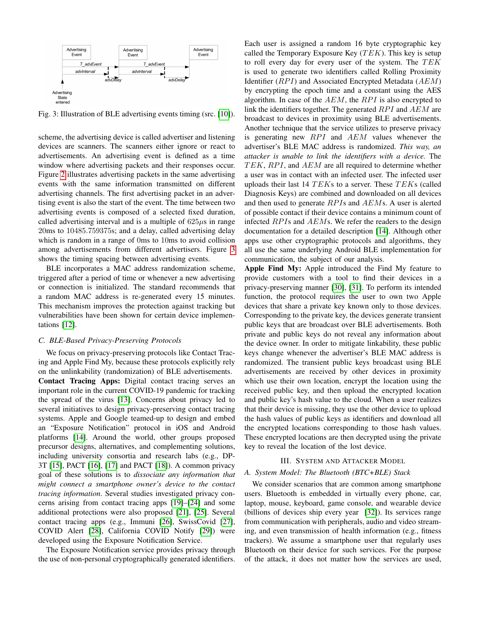<span id="page-2-0"></span>

Fig. 3: Illustration of BLE advertising events timing (src. [\[10\]](#page-13-6)).

scheme, the advertising device is called advertiser and listening devices are scanners. The scanners either ignore or react to advertisements. An advertising event is defined as a time window where advertising packets and their responses occur. Figure [2](#page-1-1) illustrates advertising packets in the same advertising events with the same information transmitted on different advertising channels. The first advertising packet in an advertising event is also the start of the event. The time between two advertising events is composed of a selected fixed duration, called advertising interval and is a multiple of  $625\mu s$  in range 20ms to 10485.759375s; and a delay, called advertising delay which is random in a range of 0ms to 10ms to avoid collision among advertisements from different advertisers. Figure [3](#page-2-0) shows the timing spacing between advertising events.

BLE incorporates a MAC address randomization scheme, triggered after a period of time or whenever a new advertising or connection is initialized. The standard recommends that a random MAC address is re-generated every 15 minutes. This mechanism improves the protection against tracking but vulnerabilities have been shown for certain device implementations [\[12\]](#page-13-8).

## *C. BLE-Based Privacy-Preserving Protocols*

We focus on privacy-preserving protocols like Contact Tracing and Apple Find My, because these protocols explicitly rely on the unlinkability (randomization) of BLE advertisements. Contact Tracing Apps: Digital contact tracing serves an important role in the current COVID-19 pandemic for tracking the spread of the virus [\[13\]](#page-13-9). Concerns about privacy led to several initiatives to design privacy-preserving contact tracing systems. Apple and Google teamed-up to design and embed an "Exposure Notification" protocol in iOS and Android platforms [\[14\]](#page-13-10). Around the world, other groups proposed precursor designs, alternatives, and complementing solutions, including university consortia and research labs (e.g., DP-3T [\[15\]](#page-13-11), PACT [\[16\]](#page-13-12), [\[17\]](#page-13-13) and PACT [\[18\]](#page-13-14)). A common privacy goal of these solutions is to *dissociate any information that might connect a smartphone owner's device to the contact tracing information*. Several studies investigated privacy concerns arising from contact tracing apps [\[19\]](#page-13-15)–[\[24\]](#page-13-16) and some additional protections were also proposed [\[21\]](#page-13-17), [\[25\]](#page-13-18). Several contact tracing apps (e.g., Immuni [\[26\]](#page-13-19), SwissCovid [\[27\]](#page-13-20), COVID Alert [\[28\]](#page-13-21), California COVID Notify [\[29\]](#page-13-22)) were developed using the Exposure Notification Service.

The Exposure Notification service provides privacy through the use of non-personal cryptographically generated identifiers.

Each user is assigned a random 16 byte cryptographic key called the Temporary Exposure Key  $(TEK)$ . This key is setup to roll every day for every user of the system. The  $TEK$ is used to generate two identifiers called Rolling Proximity Identifier  $(RPI)$  and Associated Encrypted Metadata  $(AEM)$ by encrypting the epoch time and a constant using the AES algorithm. In case of the  $AEM$ , the  $RPI$  is also encrypted to link the identifiers together. The generated  $RPI$  and  $AEM$  are broadcast to devices in proximity using BLE advertisements. Another technique that the service utilizes to preserve privacy is generating new  $RPI$  and  $AEM$  values whenever the advertiser's BLE MAC address is randomized. *This way, an attacker is unable to link the identifiers with a device.* The  $TEK, RPI$ , and  $AEM$  are all required to determine whether a user was in contact with an infected user. The infected user uploads their last 14 TEKs to a server. These TEKs (called Diagnosis Keys) are combined and downloaded on all devices and then used to generate  $RPIs$  and  $AEMs$ . A user is alerted of possible contact if their device contains a minimum count of infected  $RPIs$  and  $AEMs$ . We refer the readers to the design documentation for a detailed description [\[14\]](#page-13-10). Although other apps use other cryptographic protocols and algorithms, they all use the same underlying Android BLE implementation for communication, the subject of our analysis.

Apple Find My: Apple introduced the Find My feature to provide customers with a tool to find their devices in a privacy-preserving manner [\[30\]](#page-13-23), [\[31\]](#page-13-24). To perform its intended function, the protocol requires the user to own two Apple devices that share a private key known only to those devices. Corresponding to the private key, the devices generate transient public keys that are broadcast over BLE advertisements. Both private and public keys do not reveal any information about the device owner. In order to mitigate linkability, these public keys change whenever the advertiser's BLE MAC address is randomized. The transient public keys broadcast using BLE advertisements are received by other devices in proximity which use their own location, encrypt the location using the received public key, and then upload the encrypted location and public key's hash value to the cloud. When a user realizes that their device is missing, they use the other device to upload the hash values of public keys as identifiers and download all the encrypted locations corresponding to those hash values. These encrypted locations are then decrypted using the private key to reveal the location of the lost device.

#### III. SYSTEM AND ATTACKER MODEL

#### *A. System Model: The Bluetooth (BTC+BLE) Stack*

We consider scenarios that are common among smartphone users. Bluetooth is embedded in virtually every phone, car, laptop, mouse, keyboard, game console, and wearable device (billions of devices ship every year [\[32\]](#page-13-25)). Its services range from communication with peripherals, audio and video streaming, and even transmission of health information (e.g., fitness trackers). We assume a smartphone user that regularly uses Bluetooth on their device for such services. For the purpose of the attack, it does not matter how the services are used,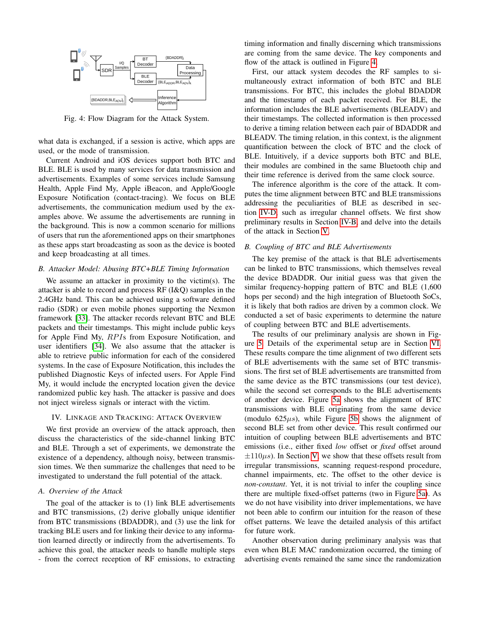<span id="page-3-0"></span>

Fig. 4: Flow Diagram for the Attack System.

what data is exchanged, if a session is active, which apps are used, or the mode of transmission.

Current Android and iOS devices support both BTC and BLE. BLE is used by many services for data transmission and advertisements. Examples of some services include Samsung Health, Apple Find My, Apple iBeacon, and Apple/Google Exposure Notification (contact-tracing). We focus on BLE advertisements, the communication medium used by the examples above. We assume the advertisements are running in the background. This is now a common scenario for millions of users that run the aforementioned apps on their smartphones as these apps start broadcasting as soon as the device is booted and keep broadcasting at all times.

#### <span id="page-3-2"></span>*B. Attacker Model: Abusing BTC+BLE Timing Information*

We assume an attacker in proximity to the victim(s). The attacker is able to record and process RF (I&Q) samples in the 2.4GHz band. This can be achieved using a software defined radio (SDR) or even mobile phones supporting the Nexmon framework [\[33\]](#page-13-26). The attacker records relevant BTC and BLE packets and their timestamps. This might include public keys for Apple Find My, RPIs from Exposure Notification, and user identifiers [\[34\]](#page-13-27). We also assume that the attacker is able to retrieve public information for each of the considered systems. In the case of Exposure Notification, this includes the published Diagnostic Keys of infected users. For Apple Find My, it would include the encrypted location given the device randomized public key hash. The attacker is passive and does not inject wireless signals or interact with the victim.

#### IV. LINKAGE AND TRACKING: ATTACK OVERVIEW

We first provide an overview of the attack approach, then discuss the characteristics of the side-channel linking BTC and BLE. Through a set of experiments, we demonstrate the existence of a dependency, although noisy, between transmission times. We then summarize the challenges that need to be investigated to understand the full potential of the attack.

# *A. Overview of the Attack*

The goal of the attacker is to (1) link BLE advertisements and BTC transmissions, (2) derive globally unique identifier from BTC transmissions (BDADDR), and (3) use the link for tracking BLE users and for linking their device to any information learned directly or indirectly from the advertisements. To achieve this goal, the attacker needs to handle multiple steps - from the correct reception of RF emissions, to extracting timing information and finally discerning which transmissions are coming from the same device. The key components and flow of the attack is outlined in Figure [4.](#page-3-0)

First, our attack system decodes the RF samples to simultaneously extract information of both BTC and BLE transmissions. For BTC, this includes the global BDADDR and the timestamp of each packet received. For BLE, the information includes the BLE advertisements (BLEADV) and their timestamps. The collected information is then processed to derive a timing relation between each pair of BDADDR and BLEADV. The timing relation, in this context, is the alignment quantification between the clock of BTC and the clock of BLE. Intuitively, if a device supports both BTC and BLE, their modules are combined in the same Bluetooth chip and their time reference is derived from the same clock source.

The inference algorithm is the core of the attack. It computes the time alignment between BTC and BLE transmissions addressing the peculiarities of BLE as described in section [IV-D,](#page-4-0) such as irregular channel offsets. We first show preliminary results in Section [IV-B,](#page-3-1) and delve into the details of the attack in Section [V.](#page-5-0)

# <span id="page-3-1"></span>*B. Coupling of BTC and BLE Advertisements*

The key premise of the attack is that BLE advertisements can be linked to BTC transmissions, which themselves reveal the device BDADDR. Our initial guess was that given the similar frequency-hopping pattern of BTC and BLE (1,600 hops per second) and the high integration of Bluetooth SoCs, it is likely that both radios are driven by a common clock. We conducted a set of basic experiments to determine the nature of coupling between BTC and BLE advertisements.

The results of our preliminary analysis are shown in Figure [5.](#page-4-1) Details of the experimental setup are in Section [VI.](#page-6-0) These results compare the time alignment of two different sets of BLE advertisements with the same set of BTC transmissions. The first set of BLE advertisements are transmitted from the same device as the BTC transmissions (our test device), while the second set corresponds to the BLE advertisements of another device. Figure [5a](#page-4-1) shows the alignment of BTC transmissions with BLE originating from the same device (modulo  $625\mu s$ ), while Figure [5b](#page-4-1) shows the alignment of second BLE set from other device. This result confirmed our intuition of coupling between BLE advertisements and BTC emissions (i.e., either fixed *low* offset or *fixed* offset around  $\pm 110\mu s$ ). In Section [V,](#page-5-0) we show that these offsets result from irregular transmissions, scanning request-respond procedure, channel impairments, etc. The offset to the other device is *non-constant*. Yet, it is not trivial to infer the coupling since there are multiple fixed-offset patterns (two in Figure [5a\)](#page-4-1). As we do not have visibility into driver implementations, we have not been able to confirm our intuition for the reason of these offset patterns. We leave the detailed analysis of this artifact for future work.

Another observation during preliminary analysis was that even when BLE MAC randomization occurred, the timing of advertising events remained the same since the randomization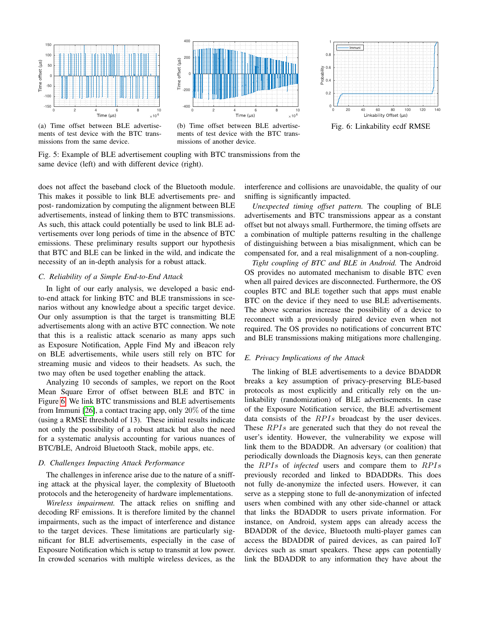<span id="page-4-1"></span>

(a) Time offset between BLE advertisements of test device with the BTC transmissions from the same device.



(b) Time offset between BLE advertisements of test device with the BTC transmissions of another device.



Fig. 6: Linkability ecdf RMSE

Fig. 5: Example of BLE advertisement coupling with BTC transmissions from the same device (left) and with different device (right).

does not affect the baseband clock of the Bluetooth module. This makes it possible to link BLE advertisements pre- and post- randomization by computing the alignment between BLE advertisements, instead of linking them to BTC transmissions. As such, this attack could potentially be used to link BLE advertisements over long periods of time in the absence of BTC emissions. These preliminary results support our hypothesis that BTC and BLE can be linked in the wild, and indicate the necessity of an in-depth analysis for a robust attack.

#### <span id="page-4-2"></span>*C. Reliability of a Simple End-to-End Attack*

In light of our early analysis, we developed a basic endto-end attack for linking BTC and BLE transmissions in scenarios without any knowledge about a specific target device. Our only assumption is that the target is transmitting BLE advertisements along with an active BTC connection. We note that this is a realistic attack scenario as many apps such as Exposure Notification, Apple Find My and iBeacon rely on BLE advertisements, while users still rely on BTC for streaming music and videos to their headsets. As such, the two may often be used together enabling the attack.

Analyzing 10 seconds of samples, we report on the Root Mean Square Error of offset between BLE and BTC in Figure [6.](#page-4-1) We link BTC transmissions and BLE advertisements from Immuni [\[26\]](#page-13-19), a contact tracing app, only 20% of the time (using a RMSE threshold of 13). These initial results indicate not only the possibility of a robust attack but also the need for a systematic analysis accounting for various nuances of BTC/BLE, Android Bluetooth Stack, mobile apps, etc.

#### <span id="page-4-0"></span>*D. Challenges Impacting Attack Performance*

The challenges in inference arise due to the nature of a sniffing attack at the physical layer, the complexity of Bluetooth protocols and the heterogeneity of hardware implementations.

*Wireless impairment.* The attack relies on sniffing and decoding RF emissions. It is therefore limited by the channel impairments, such as the impact of interference and distance to the target devices. These limitations are particularly significant for BLE advertisements, especially in the case of Exposure Notification which is setup to transmit at low power. In crowded scenarios with multiple wireless devices, as the interference and collisions are unavoidable, the quality of our sniffing is significantly impacted.

*Unexpected timing offset pattern.* The coupling of BLE advertisements and BTC transmissions appear as a constant offset but not always small. Furthermore, the timing offsets are a combination of multiple patterns resulting in the challenge of distinguishing between a bias misalignment, which can be compensated for, and a real misalignment of a non-coupling.

*Tight coupling of BTC and BLE in Android.* The Android OS provides no automated mechanism to disable BTC even when all paired devices are disconnected. Furthermore, the OS couples BTC and BLE together such that apps must enable BTC on the device if they need to use BLE advertisements. The above scenarios increase the possibility of a device to reconnect with a previously paired device even when not required. The OS provides no notifications of concurrent BTC and BLE transmissions making mitigations more challenging.

## *E. Privacy Implications of the Attack*

The linking of BLE advertisements to a device BDADDR breaks a key assumption of privacy-preserving BLE-based protocols as most explicitly and critically rely on the unlinkability (randomization) of BLE advertisements. In case of the Exposure Notification service, the BLE advertisement data consists of the  $RPIs$  broadcast by the user devices. These  $RPIs$  are generated such that they do not reveal the user's identity. However, the vulnerability we expose will link them to the BDADDR. An adversary (or coalition) that periodically downloads the Diagnosis keys, can then generate the RPIs of *infected* users and compare them to RPIs previously recorded and linked to BDADDRs. This does not fully de-anonymize the infected users. However, it can serve as a stepping stone to full de-anonymization of infected users when combined with any other side-channel or attack that links the BDADDR to users private information. For instance, on Android, system apps can already access the BDADDR of the device, Bluetooth multi-player games can access the BDADDR of paired devices, as can paired IoT devices such as smart speakers. These apps can potentially link the BDADDR to any information they have about the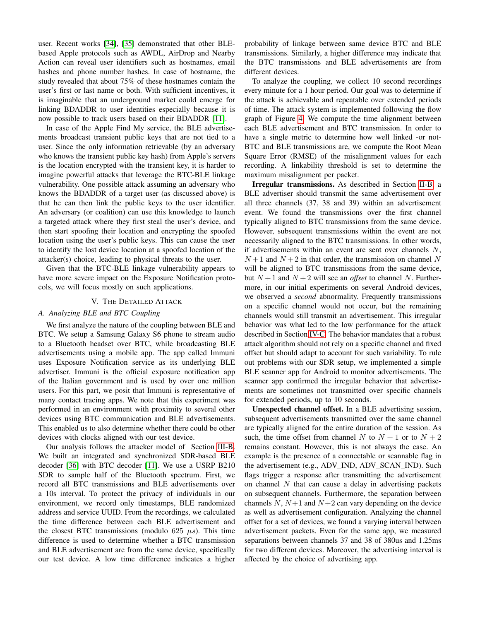user. Recent works [\[34\]](#page-13-27), [\[35\]](#page-13-28) demonstrated that other BLEbased Apple protocols such as AWDL, AirDrop and Nearby Action can reveal user identifiers such as hostnames, email hashes and phone number hashes. In case of hostname, the study revealed that about 75% of these hostnames contain the user's first or last name or both. With sufficient incentives, it is imaginable that an underground market could emerge for linking BDADDR to user identities especially because it is now possible to track users based on their BDADDR [\[11\]](#page-13-7).

In case of the Apple Find My service, the BLE advertisements broadcast transient public keys that are not tied to a user. Since the only information retrievable (by an adversary who knows the transient public key hash) from Apple's servers is the location encrypted with the transient key, it is harder to imagine powerful attacks that leverage the BTC-BLE linkage vulnerability. One possible attack assuming an adversary who knows the BDADDR of a target user (as discussed above) is that he can then link the public keys to the user identifier. An adversary (or coalition) can use this knowledge to launch a targeted attack where they first steal the user's device, and then start spoofing their location and encrypting the spoofed location using the user's public keys. This can cause the user to identify the lost device location at a spoofed location of the attacker(s) choice, leading to physical threats to the user.

Given that the BTC-BLE linkage vulnerability appears to have more severe impact on the Exposure Notification protocols, we will focus mostly on such applications.

# V. THE DETAILED ATTACK

# <span id="page-5-0"></span>*A. Analyzing BLE and BTC Coupling*

We first analyze the nature of the coupling between BLE and BTC. We setup a Samsung Galaxy S6 phone to stream audio to a Bluetooth headset over BTC, while broadcasting BLE advertisements using a mobile app. The app called Immuni uses Exposure Notification service as its underlying BLE advertiser. Immuni is the official exposure notification app of the Italian government and is used by over one million users. For this part, we posit that Immuni is representative of many contact tracing apps. We note that this experiment was performed in an environment with proximity to several other devices using BTC communication and BLE advertisements. This enabled us to also determine whether there could be other devices with clocks aligned with our test device.

Our analysis follows the attacker model of Section [III-B.](#page-3-2) We built an integrated and synchronized SDR-based BLE decoder [\[36\]](#page-13-29) with BTC decoder [\[11\]](#page-13-7). We use a USRP B210 SDR to sample half of the Bluetooth spectrum. First, we record all BTC transmissions and BLE advertisements over a 10s interval. To protect the privacy of individuals in our environment, we record only timestamps, BLE randomized address and service UUID. From the recordings, we calculated the time difference between each BLE advertisement and the closest BTC transmissions (modulo 625  $\mu s$ ). This time difference is used to determine whether a BTC transmission and BLE advertisement are from the same device, specifically our test device. A low time difference indicates a higher probability of linkage between same device BTC and BLE transmissions. Similarly, a higher difference may indicate that the BTC transmissions and BLE advertisements are from different devices.

To analyze the coupling, we collect 10 second recordings every minute for a 1 hour period. Our goal was to determine if the attack is achievable and repeatable over extended periods of time. The attack system is implemented following the flow graph of Figure [4.](#page-3-0) We compute the time alignment between each BLE advertisement and BTC transmission. In order to have a single metric to determine how well linked -or not-BTC and BLE transmissions are, we compute the Root Mean Square Error (RMSE) of the misalignment values for each recording. A linkability threshold is set to determine the maximum misalignment per packet.

Irregular transmissions. As described in Section [II-B,](#page-1-2) a BLE advertiser should transmit the same advertisement over all three channels (37, 38 and 39) within an advertisement event. We found the transmissions over the first channel typically aligned to BTC transmissions from the same device. However, subsequent transmissions within the event are not necessarily aligned to the BTC transmissions. In other words, if advertisements within an event are sent over channels  $N$ ,  $N+1$  and  $N+2$  in that order, the transmission on channel N will be aligned to BTC transmissions from the same device, but  $N+1$  and  $N+2$  will see an *offset* to channel N. Furthermore, in our initial experiments on several Android devices, we observed a *second* abnormality. Frequently transmissions on a specific channel would not occur, but the remaining channels would still transmit an advertisement. This irregular behavior was what led to the low performance for the attack described in Section [IV-C.](#page-4-2) The behavior mandates that a robust attack algorithm should not rely on a specific channel and fixed offset but should adapt to account for such variability. To rule out problems with our SDR setup, we implemented a simple BLE scanner app for Android to monitor advertisements. The scanner app confirmed the irregular behavior that advertisements are sometimes not transmitted over specific channels for extended periods, up to 10 seconds.

Unexpected channel offset. In a BLE advertising session, subsequent advertisements transmitted over the same channel are typically aligned for the entire duration of the session. As such, the time offset from channel N to  $N + 1$  or to  $N + 2$ remains constant. However, this is not always the case. An example is the presence of a connectable or scannable flag in the advertisement (e.g., ADV IND, ADV SCAN IND). Such flags trigger a response after transmitting the advertisement on channel  $N$  that can cause a delay in advertising packets on subsequent channels. Furthermore, the separation between channels  $N$ ,  $N+1$  and  $N+2$  can vary depending on the device as well as advertisement configuration. Analyzing the channel offset for a set of devices, we found a varying interval between advertisement packets. Even for the same app, we measured separations between channels 37 and 38 of 380us and 1.25ms for two different devices. Moreover, the advertising interval is affected by the choice of advertising app.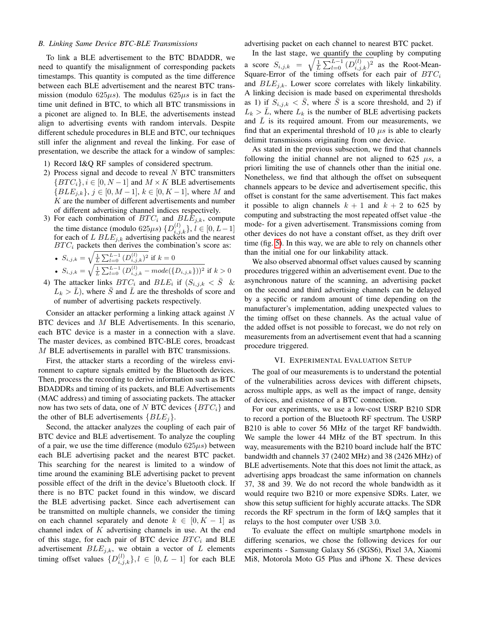#### *B. Linking Same Device BTC-BLE Transmissions*

To link a BLE advertisement to the BTC BDADDR, we need to quantify the misalignment of corresponding packets timestamps. This quantity is computed as the time difference between each BLE advertisement and the nearest BTC transmission (modulo 625 $\mu$ s). The modulus 625 $\mu$ s is in fact the time unit defined in BTC, to which all BTC transmissions in a piconet are aligned to. In BLE, the advertisements instead align to advertising events with random intervals. Despite different schedule procedures in BLE and BTC, our techniques still infer the alignment and reveal the linking. For ease of presentation, we describe the attack for a window of samples:

- 1) Record I&Q RF samples of considered spectrum.
- 2) Process signal and decode to reveal  $N$  BTC transmitters  $\{BTC_i\}, i \in [0, N-1]$  and  $M \times K$  BLE advertisements  ${BLE_{i,k}}$ ,  $j \in [0, M-1]$ ,  $k \in [0, K-1]$ , where M and  $K$  are the number of different advertisements and number of different advertising channel indices respectively.
- 3) For each combination of  $BTC_i$  and  $BLE_{i,k}$ , compute the time distance (modulo 625 $\mu s$ )  $\{D_{i,j,k}^{(l)}\}, l \in [0, L-1]$ for each of L  $BLE_{j,k}$  advertising packets and the nearest  $BTC_i$  packets then derives the combination's score as:

• 
$$
S_{i,j,k} = \sqrt{\frac{1}{L} \sum_{l=0}^{L-1} (D_{i,j,k}^{(l)})^2}
$$
 if  $k = 0$ 

- $S_{i,j,k} = \sqrt{\frac{1}{L} \sum_{l=0}^{L-1} (D_{i,j,k}^{(l)} mode(\{D_{i,j,k}\}))^2}$  if  $k > 0$ 4) The attacker links  $BTC_i$  and  $BLE_i$  if  $(S_{i,j,k} < \overline{S}$  &
- $L_k > \bar{L}$ , where  $\bar{S}$  and  $\bar{L}$  are the thresholds of score and of number of advertising packets respectively.

Consider an attacker performing a linking attack against N BTC devices and M BLE Advertisements. In this scenario, each BTC device is a master in a connection with a slave. The master devices, as combined BTC-BLE cores, broadcast M BLE advertisements in parallel with BTC transmissions.

First, the attacker starts a recording of the wireless environment to capture signals emitted by the Bluetooth devices. Then, process the recording to derive information such as BTC BDADDRs and timing of its packets, and BLE Advertisements (MAC address) and timing of associating packets. The attacker now has two sets of data, one of N BTC devices  $\{BTC_i\}$  and the other of BLE advertisements  $\{BLE_i\}$ .

Second, the attacker analyzes the coupling of each pair of BTC device and BLE advertisement. To analyze the coupling of a pair, we use the time difference (modulo  $625\mu s$ ) between each BLE advertising packet and the nearest BTC packet. This searching for the nearest is limited to a window of time around the examining BLE advertising packet to prevent possible effect of the drift in the device's Bluetooth clock. If there is no BTC packet found in this window, we discard the BLE advertising packet. Since each advertisement can be transmitted on multiple channels, we consider the timing on each channel separately and denote  $k \in [0, K - 1]$  as channel index of  $K$  advertising channels in use. At the end of this stage, for each pair of BTC device  $BTC_i$  and BLE advertisement  $BLE_{j,k}$ , we obtain a vector of L elements timing offset values  $\{D_{i,j,k}^{(l)}\}, l \in [0, L-1]$  for each BLE advertising packet on each channel to nearest BTC packet.

In the last stage, we quantify the coupling by computing a score  $S_{i,j,k} = \sqrt{\frac{1}{L} \sum_{l=0}^{L-1} (D_{i,j,k}^{(l)})^2}$  as the Root-Mean-Square-Error of the timing offsets for each pair of  $BTC_i$ and  $BLE_{i,k}$ . Lower score correlates with likely linkability. A linking decision is made based on experimental thresholds as 1) if  $S_{i,j,k} < \overline{S}$ , where  $\overline{S}$  is a score threshold, and 2) if  $L_k > \bar{L}$ , where  $L_k$  is the number of BLE advertising packets and  $L$  is its required amount. From our measurements, we find that an experimental threshold of 10  $\mu$ s is able to clearly delimit transmissions originating from one device.

As stated in the previous subsection, we find that channels following the initial channel are not aligned to 625  $\mu s$ , a priori limiting the use of channels other than the initial one. Nonetheless, we find that although the offset on subsequent channels appears to be device and advertisement specific, this offset is constant for the same advertisement. This fact makes it possible to align channels  $k + 1$  and  $k + 2$  to 625 by computing and substracting the most repeated offset value -the mode- for a given advertisement. Transmissions coming from other devices do not have a constant offset, as they drift over time (fig. [5\)](#page-4-1). In this way, we are able to rely on channels other than the initial one for our linkability attack.

We also observed abnormal offset values caused by scanning procedures triggered within an advertisement event. Due to the asynchronous nature of the scanning, an advertising packet on the second and third advertising channels can be delayed by a specific or random amount of time depending on the manufacturer's implementation, adding unexpected values to the timing offset on these channels. As the actual value of the added offset is not possible to forecast, we do not rely on measurements from an advertisement event that had a scanning procedure triggered.

#### VI. EXPERIMENTAL EVALUATION SETUP

<span id="page-6-0"></span>The goal of our measurements is to understand the potential of the vulnerabilities across devices with different chipsets, across multiple apps, as well as the impact of range, density of devices, and existence of a BTC connection.

For our experiments, we use a low-cost USRP B210 SDR to record a portion of the Bluetooth RF spectrum. The USRP B210 is able to cover 56 MHz of the target RF bandwidth. We sample the lower 44 MHz of the BT spectrum. In this way, measurements with the B210 board include half the BTC bandwidth and channels 37 (2402 MHz) and 38 (2426 MHz) of BLE advertisements. Note that this does not limit the attack, as advertising apps broadcast the same information on channels 37, 38 and 39. We do not record the whole bandwidth as it would require two B210 or more expensive SDRs. Later, we show this setup sufficient for highly accurate attacks. The SDR records the RF spectrum in the form of I&Q samples that it relays to the host computer over USB 3.0.

To evaluate the effect on multiple smartphone models in differing scenarios, we chose the following devices for our experiments - Samsung Galaxy S6 (SGS6), Pixel 3A, Xiaomi Mi8, Motorola Moto G5 Plus and iPhone X. These devices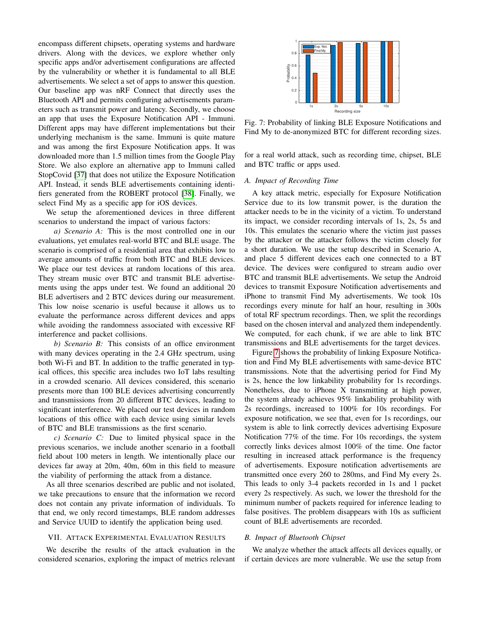encompass different chipsets, operating systems and hardware drivers. Along with the devices, we explore whether only specific apps and/or advertisement configurations are affected by the vulnerability or whether it is fundamental to all BLE advertisements. We select a set of apps to answer this question. Our baseline app was nRF Connect that directly uses the Bluetooth API and permits configuring advertisements parameters such as transmit power and latency. Secondly, we choose an app that uses the Exposure Notification API - Immuni. Different apps may have different implementations but their underlying mechanism is the same. Immuni is quite mature and was among the first Exposure Notification apps. It was downloaded more than 1.5 million times from the Google Play Store. We also explore an alternative app to Immuni called StopCovid [\[37\]](#page-13-30) that does not utilize the Exposure Notification API. Instead, it sends BLE advertisements containing identifiers generated from the ROBERT protocol [\[38\]](#page-13-31). Finally, we select Find My as a specific app for iOS devices.

We setup the aforementioned devices in three different scenarios to understand the impact of various factors:

*a) Scenario A:* This is the most controlled one in our evaluations, yet emulates real-world BTC and BLE usage. The scenario is comprised of a residential area that exhibits low to average amounts of traffic from both BTC and BLE devices. We place our test devices at random locations of this area. They stream music over BTC and transmit BLE advertisements using the apps under test. We found an additional 20 BLE advertisers and 2 BTC devices during our measurement. This low noise scenario is useful because it allows us to evaluate the performance across different devices and apps while avoiding the randomness associated with excessive RF interference and packet collisions.

*b) Scenario B:* This consists of an office environment with many devices operating in the 2.4 GHz spectrum, using both Wi-Fi and BT. In addition to the traffic generated in typical offices, this specific area includes two IoT labs resulting in a crowded scenario. All devices considered, this scenario presents more than 100 BLE devices advertising concurrently and transmissions from 20 different BTC devices, leading to significant interference. We placed our test devices in random locations of this office with each device using similar levels of BTC and BLE transmissions as the first scenario.

*c) Scenario C:* Due to limited physical space in the previous scenarios, we include another scenario in a football field about 100 meters in length. We intentionally place our devices far away at 20m, 40m, 60m in this field to measure the viability of performing the attack from a distance.

As all three scenarios described are public and not isolated, we take precautions to ensure that the information we record does not contain any private information of individuals. To that end, we only record timestamps, BLE random addresses and Service UUID to identify the application being used.

#### VII. ATTACK EXPERIMENTAL EVALUATION RESULTS

We describe the results of the attack evaluation in the considered scenarios, exploring the impact of metrics relevant

<span id="page-7-0"></span>

Fig. 7: Probability of linking BLE Exposure Notifications and Find My to de-anonymized BTC for different recording sizes.

for a real world attack, such as recording time, chipset, BLE and BTC traffic or apps used.

## *A. Impact of Recording Time*

A key attack metric, especially for Exposure Notification Service due to its low transmit power, is the duration the attacker needs to be in the vicinity of a victim. To understand its impact, we consider recording intervals of 1s, 2s, 5s and 10s. This emulates the scenario where the victim just passes by the attacker or the attacker follows the victim closely for a short duration. We use the setup described in Scenario A, and place 5 different devices each one connected to a BT device. The devices were configured to stream audio over BTC and transmit BLE advertisements. We setup the Android devices to transmit Exposure Notification advertisements and iPhone to transmit Find My advertisements. We took 10s recordings every minute for half an hour, resulting in 300s of total RF spectrum recordings. Then, we split the recordings based on the chosen interval and analyzed them independently. We computed, for each chunk, if we are able to link BTC transmissions and BLE advertisements for the target devices.

Figure [7](#page-7-0) shows the probability of linking Exposure Notification and Find My BLE advertisements with same-device BTC transmissions. Note that the advertising period for Find My is 2s, hence the low linkability probability for 1s recordings. Nonetheless, due to iPhone X transmitting at high power, the system already achieves 95% linkability probability with 2s recordings, increased to 100% for 10s recordings. For exposure notification, we see that, even for 1s recordings, our system is able to link correctly devices advertising Exposure Notification 77% of the time. For 10s recordings, the system correctly links devices almost 100% of the time. One factor resulting in increased attack performance is the frequency of advertisements. Exposure notification advertisements are transmitted once every 260 to 280ms, and Find My every 2s. This leads to only 3-4 packets recorded in 1s and 1 packet every 2s respectively. As such, we lower the threshold for the minimum number of packets required for inference leading to false positives. The problem disappears with 10s as sufficient count of BLE advertisements are recorded.

#### *B. Impact of Bluetooth Chipset*

We analyze whether the attack affects all devices equally, or if certain devices are more vulnerable. We use the setup from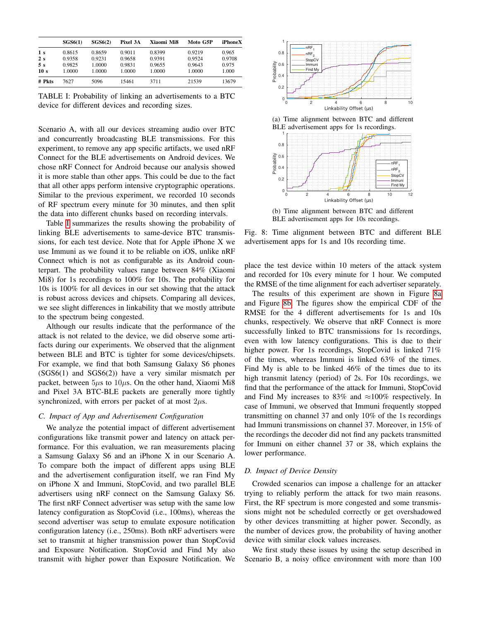<span id="page-8-0"></span>

|                       | SGS6(1)          | SGS6(2)          | Pixel 3A         | Xiaomi Mi8       | Moto G5P         | iPhoneX        |
|-----------------------|------------------|------------------|------------------|------------------|------------------|----------------|
| 1 <sub>s</sub>        | 0.8615           | 0.8659           | 0.9011           | 0.8399           | 0.9219           | 0.965          |
| 2s                    | 0.9358           | 0.9231           | 0.9658           | 0.9391           | 0.9524           | 0.9708         |
| 5s<br>10 <sub>s</sub> | 0.9825<br>1.0000 | 1.0000<br>1.0000 | 0.9831<br>1.0000 | 0.9655<br>1.0000 | 0.9643<br>1.0000 | 0.975<br>1.000 |
| # Pkts                | 7627             | 5096             | 15461            | 3711             | 21539            | 13679          |

TABLE I: Probability of linking an advertisements to a BTC device for different devices and recording sizes.

Scenario A, with all our devices streaming audio over BTC and concurrently broadcasting BLE transmissions. For this experiment, to remove any app specific artifacts, we used nRF Connect for the BLE advertisements on Android devices. We chose nRF Connect for Android because our analysis showed it is more stable than other apps. This could be due to the fact that all other apps perform intensive cryptographic operations. Similar to the previous experiment, we recorded 10 seconds of RF spectrum every minute for 30 minutes, and then split the data into different chunks based on recording intervals.

Table [I](#page-8-0) summarizes the results showing the probability of linking BLE advertisements to same-device BTC transmissions, for each test device. Note that for Apple iPhone X we use Immuni as we found it to be reliable on iOS, unlike nRF Connect which is not as configurable as its Android counterpart. The probability values range between 84% (Xiaomi Mi8) for 1s recordings to 100% for 10s. The probability for 10s is 100% for all devices in our set showing that the attack is robust across devices and chipsets. Comparing all devices, we see slight differences in linkability that we mostly attribute to the spectrum being congested.

Although our results indicate that the performance of the attack is not related to the device, we did observe some artifacts during our experiments. We observed that the alignment between BLE and BTC is tighter for some devices/chipsets. For example, we find that both Samsung Galaxy S6 phones (SGS6(1) and SGS6(2)) have a very similar mismatch per packet, between  $5\mu s$  to  $10\mu s$ . On the other hand, Xiaomi Mi8 and Pixel 3A BTC-BLE packets are generally more tightly synchronized, with errors per packet of at most  $2\mu$ s.

# *C. Impact of App and Advertisement Configuration*

We analyze the potential impact of different advertisement configurations like transmit power and latency on attack performance. For this evaluation, we ran measurements placing a Samsung Galaxy S6 and an iPhone X in our Scenario A. To compare both the impact of different apps using BLE and the advertisement configuration itself, we ran Find My on iPhone X and Immuni, StopCovid, and two parallel BLE advertisers using nRF connect on the Samsung Galaxy S6. The first nRF Connect advertiser was setup with the same low latency configuration as StopCovid (i.e., 100ms), whereas the second advertiser was setup to emulate exposure notification configuration latency (i.e., 250ms). Both nRF advertisers were set to transmit at higher transmission power than StopCovid and Exposure Notification. StopCovid and Find My also transmit with higher power than Exposure Notification. We

<span id="page-8-1"></span>

(a) Time alignment between BTC and different BLE advertisement apps for 1s recordings.



(b) Time alignment between BTC and different BLE advertisement apps for 10s recordings.

Fig. 8: Time alignment between BTC and different BLE advertisement apps for 1s and 10s recording time.

place the test device within 10 meters of the attack system and recorded for 10s every minute for 1 hour. We computed the RMSE of the time alignment for each advertiser separately.

The results of this experiment are shown in Figure [8a](#page-8-1) and Figure [8b.](#page-8-1) The figures show the empirical CDF of the RMSE for the 4 different advertisements for 1s and 10s chunks, respectively. We observe that nRF Connect is more successfully linked to BTC transmissions for 1s recordings, even with low latency configurations. This is due to their higher power. For 1s recordings, StopCovid is linked 71% of the times, whereas Immuni is linked 63% of the times. Find My is able to be linked 46% of the times due to its high transmit latency (period) of 2s. For 10s recordings, we find that the performance of the attack for Immuni, StopCovid and Find My increases to 83% and  $\approx$ 100% respectively. In case of Immuni, we observed that Immuni frequently stopped transmitting on channel 37 and only 10% of the 1s recordings had Immuni transmissions on channel 37. Moreover, in 15% of the recordings the decoder did not find any packets transmitted for Immuni on either channel 37 or 38, which explains the lower performance.

# *D. Impact of Device Density*

Crowded scenarios can impose a challenge for an attacker trying to reliably perform the attack for two main reasons. First, the RF spectrum is more congested and some transmissions might not be scheduled correctly or get overshadowed by other devices transmitting at higher power. Secondly, as the number of devices grow, the probability of having another device with similar clock values increases.

We first study these issues by using the setup described in Scenario B, a noisy office environment with more than 100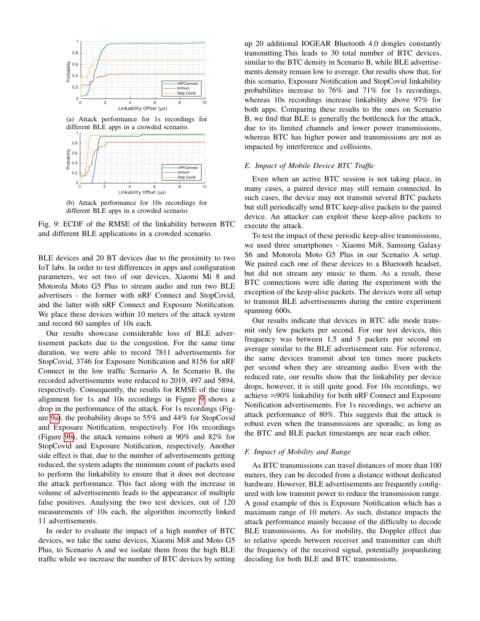<span id="page-9-0"></span>

(a) Attack performance for 1s recordings for different BLE apps in a crowded scenario.



(b) Attack performance for 10s recordings for different BLE apps in a crowded scenario.

Fig. 9: ECDF of the RMSE of the linkability between BTC and different BLE applications in a crowded scenario.

BLE devices and 20 BT devices due to the proximity to two IoT labs. In order to test differences in apps and configuration parameters, we set two of our devices, Xiaomi Mi 8 and Motorola Moto G5 Plus to stream audio and run two BLE advertisers - the former with nRF Connect and StopCovid, and the latter with nRF Connect and Exposure Notification. We place these devices within 10 meters of the attack system and record 60 samples of 10s each.

Our results showcase considerable loss of BLE advertisement packets due to the congestion. For the same time duration, we were able to record 7811 advertisements for StopCovid, 3746 for Exposure Notification and 8156 for nRF Connect in the low traffic Scenario A. In Scenario B, the recorded advertisements were reduced to 2019, 497 and 5894, respectively. Consequently, the results for RMSE of the time alignment for 1s and 10s recordings in Figure [9](#page-9-0) shows a drop in the performance of the attack. For 1s recordings (Figure [9a\)](#page-9-0), the probability drops to 55% and 44% for StopCovid and Exposure Notification, respectively. For 10s recordings (Figure [9b\)](#page-9-0), the attack remains robust at 90% and 82% for StopCovid and Exposure Notification, respectively. Another side effect is that, due to the number of advertisements getting reduced, the system adapts the minimum count of packets used to perform the linkability to ensure that it does not decrease the attack performance. This fact along with the increase in volume of advertisements leads to the appearance of multiple false positives. Analysing the two test devices, out of 120 measurements of 10s each, the algorithm incorrectly linked 11 advertisements.

In order to evaluate the impact of a high number of BTC devices, we take the same devices, Xiaomi Mi8 and Moto G5 Plus, to Scenario A and we isolate them from the high BLE traffic while we increase the number of BTC devices by setting up 20 additional IOGEAR Bluetooth 4.0 dongles constantly transmitting.This leads to 30 total number of BTC devices, similar to the BTC density in Scenario B, while BLE advertisements density remain low to average. Our results show that, for this scenario, Exposure Notification and StopCovid linkability probabilities increase to 76% and 71% for 1s recordings, whereas 10s recordings increase linkability above 97% for both apps. Comparing these results to the ones on Scenario B, we find that BLE is generally the bottleneck for the attack, due to its limited channels and lower power transmissions, whereas BTC has higher power and transmissions are not as impacted by interference and collisions.

### *E. Impact of Mobile Device BTC Traffic*

Even when an active BTC session is not taking place, in many cases, a paired device may still remain connected. In such cases, the device may not transmit several BTC packets but still periodically send BTC keep-alive packets to the paired device. An attacker can exploit these keep-alive packets to execute the attack.

To test the impact of these periodic keep-alive transmissions, we used three smartphones - Xiaomi Mi8, Samsung Galaxy S6 and Motorola Moto G5 Plus in our Scenario A setup. We paired each one of these devices to a Bluetooth headset, but did not stream any music to them. As a result, these BTC connections were idle during the experiment with the exception of the keep-alive packets. The devices were all setup to transmit BLE advertisements during the entire experiment spanning 600s.

Our results indicate that devices in BTC idle mode transmit only few packets per second. For our test devices, this frequency was between 1.5 and 5 packets per second on average similar to the BLE advertisement rate. For reference, the same devices transmit about ten times more packets per second when they are streaming audio. Even with the reduced rate, our results show that the linkability per device drops, however, it is still quite good. For 10s recordings, we achieve ≈90% linkability for both nRF Connect and Exposure Notification advertisements. For 1s recordings, we achieve an attack performance of 80%. This suggests that the attack is robust even when the transmissions are sporadic, as long as the BTC and BLE packet timestamps are near each other.

# *F. Impact of Mobility and Range*

As BTC transmissions can travel distances of more than 100 meters, they can be decoded from a distance without dedicated hardware. However, BLE advertisements are frequently configured with low transmit power to reduce the transmission range. A good example of this is Exposure Notification which has a maximum range of 10 meters. As such, distance impacts the attack performance mainly because of the difficulty to decode BLE transmissions. As for mobility, the Doppler effect due to relative speeds between receiver and transmitter can shift the frequency of the received signal, potentially jeopardizing decoding for both BLE and BTC transmissions.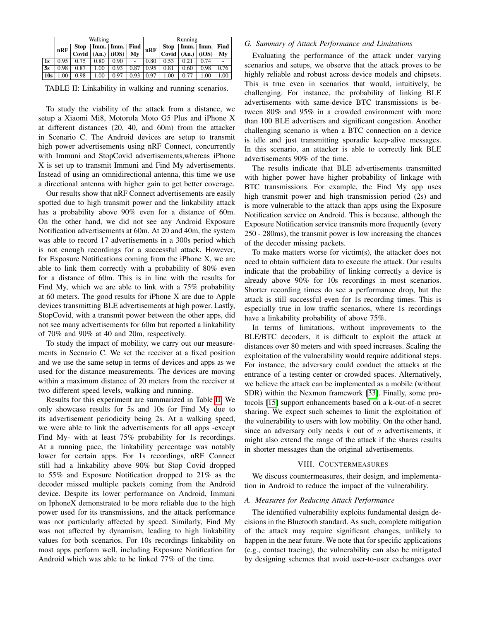<span id="page-10-0"></span>

|                 | Walking |       |       |                    |      | Running |             |       |                |      |
|-----------------|---------|-------|-------|--------------------|------|---------|-------------|-------|----------------|------|
|                 | nRF     | Stop  |       | Imm.   Imm.   Find |      | nRF     | <b>Stop</b> |       | Imm. Imm. Find |      |
|                 |         | Covid | (An.) | (iOS)              | Mv   |         | Covid       | (An.) | (iOS)          | Mv   |
| 1s              | 0.95    | 0.75  | 0.80  | 0.90               | -    | 0.80    | 0.53        | 0.21  | 0.74           |      |
| 5s              | 0.98    | 0.87  | 1.00  | 0.93               | 0.87 | 0.95    | 0.81        | 0.60  | 0.98           | 0.76 |
| 10 <sub>s</sub> | .00     | 0.98  | .00   | 0.97               | 0.93 | 0.97    | 1.00        | 0.77  | 1.00           | 00.1 |

TABLE II: Linkability in walking and running scenarios.

To study the viability of the attack from a distance, we setup a Xiaomi Mi8, Motorola Moto G5 Plus and iPhone X at different distances (20, 40, and 60m) from the attacker in Scenario C. The Android devices are setup to transmit high power advertisements using nRF Connect, concurrently with Immuni and StopCovid advertisements,whereas iPhone X is set up to transmit Immuni and Find My advertisements. Instead of using an omnidirectional antenna, this time we use a directional antenna with higher gain to get better coverage.

Our results show that nRF Connect advertisements are easily spotted due to high transmit power and the linkability attack has a probability above 90% even for a distance of 60m. On the other hand, we did not see any Android Exposure Notification advertisements at 60m. At 20 and 40m, the system was able to record 17 advertisements in a 300s period which is not enough recordings for a successful attack. However, for Exposure Notifications coming from the iPhone X, we are able to link them correctly with a probability of 80% even for a distance of 60m. This is in line with the results for Find My, which we are able to link with a 75% probability at 60 meters. The good results for iPhone X are due to Apple devices transmitting BLE advertisements at high power. Lastly, StopCovid, with a transmit power between the other apps, did not see many advertisements for 60m but reported a linkability of 70% and 90% at 40 and 20m, respectively.

To study the impact of mobility, we carry out our measurements in Scenario C. We set the receiver at a fixed position and we use the same setup in terms of devices and apps as we used for the distance measurements. The devices are moving within a maximum distance of 20 meters from the receiver at two different speed levels, walking and running.

Results for this experiment are summarized in Table [II.](#page-10-0) We only showcase results for 5s and 10s for Find My due to its advertisement periodicity being 2s. At a walking speed, we were able to link the advertisements for all apps -except Find My- with at least 75% probability for 1s recordings. At a running pace, the linkability percentage was notably lower for certain apps. For 1s recordings, nRF Connect still had a linkability above 90% but Stop Covid dropped to 55% and Exposure Notification dropped to 21% as the decoder missed multiple packets coming from the Android device. Despite its lower performance on Android, Immuni on IphoneX demonstrated to be more reliable due to the high power used for its transmissions, and the attack performance was not particularly affected by speed. Similarly, Find My was not affected by dynamism, leading to high linkability values for both scenarios. For 10s recordings linkability on most apps perform well, including Exposure Notification for Android which was able to be linked 77% of the time.

# *G. Summary of Attack Performance and Limitations*

Evaluating the performance of the attack under varying scenarios and setups, we observe that the attack proves to be highly reliable and robust across device models and chipsets. This is true even in scenarios that would, intuitively, be challenging. For instance, the probability of linking BLE advertisements with same-device BTC transmissions is between 80% and 95% in a crowded environment with more than 100 BLE advertisers and significant congestion. Another challenging scenario is when a BTC connection on a device is idle and just transmitting sporadic keep-alive messages. In this scenario, an attacker is able to correctly link BLE advertisements 90% of the time.

The results indicate that BLE advertisements transmitted with higher power have higher probability of linkage with BTC transmissions. For example, the Find My app uses high transmit power and high transmission period (2s) and is more vulnerable to the attack than apps using the Exposure Notification service on Android. This is because, although the Exposure Notification service transmits more frequently (every 250 - 280ms), the transmit power is low increasing the chances of the decoder missing packets.

To make matters worse for victim(s), the attacker does not need to obtain sufficient data to execute the attack. Our results indicate that the probability of linking correctly a device is already above 90% for 10s recordings in most scenarios. Shorter recording times do see a performance drop, but the attack is still successful even for 1s recording times. This is especially true in low traffic scenarios, where 1s recordings have a linkability probability of above 75%.

In terms of limitations, without improvements to the BLE/BTC decoders, it is difficult to exploit the attack at distances over 80 meters and with speed increases. Scaling the exploitation of the vulnerability would require additional steps. For instance, the adversary could conduct the attacks at the entrance of a testing center or crowded spaces. Alternatively, we believe the attack can be implemented as a mobile (without SDR) within the Nexmon framework [\[33\]](#page-13-26). Finally, some protocols [\[15\]](#page-13-11) support enhancements based on a k-out-of-n secret sharing. We expect such schemes to limit the exploitation of the vulnerability to users with low mobility. On the other hand, since an adversary only needs  $k$  out of  $n$  advertisements, it might also extend the range of the attack if the shares results in shorter messages than the original advertisements.

# VIII. COUNTERMEASURES

We discuss countermeasures, their design, and implementation in Android to reduce the impact of the vulnerability.

#### *A. Measures for Reducing Attack Performance*

The identified vulnerability exploits fundamental design decisions in the Bluetooth standard. As such, complete mitigation of the attack may require significant changes, unlikely to happen in the near future. We note that for specific applications (e.g., contact tracing), the vulnerability can also be mitigated by designing schemes that avoid user-to-user exchanges over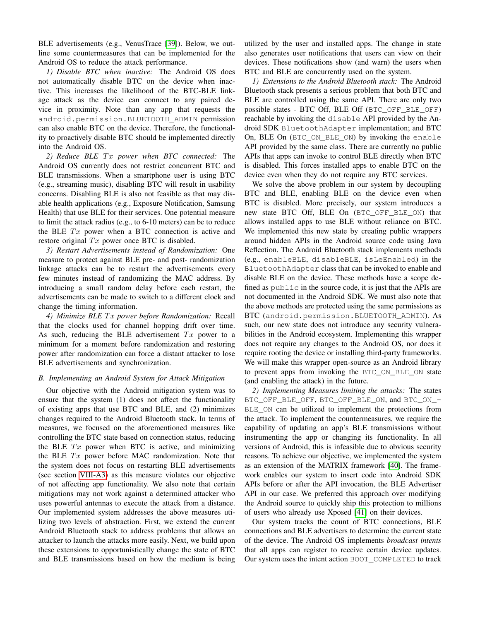BLE advertisements (e.g., VenusTrace [\[39\]](#page-13-32)). Below, we outline some countermeasures that can be implemented for the Android OS to reduce the attack performance.

*1) Disable BTC when inactive:* The Android OS does not automatically disable BTC on the device when inactive. This increases the likelihood of the BTC-BLE linkage attack as the device can connect to any paired device in proximity. Note than any app that requests the android.permission.BLUETOOTH\_ADMIN permission can also enable BTC on the device. Therefore, the functionality to proactively disable BTC should be implemented directly into the Android OS.

2) Reduce BLE Tx power when BTC connected: The Android OS currently does not restrict concurrent BTC and BLE transmissions. When a smartphone user is using BTC (e.g., streaming music), disabling BTC will result in usability concerns. Disabling BLE is also not feasible as that may disable health applications (e.g., Exposure Notification, Samsung Health) that use BLE for their services. One potential measure to limit the attack radius (e.g., to 6-10 meters) can be to reduce the BLE  $Tx$  power when a BTC connection is active and restore original  $Tx$  power once BTC is disabled.

<span id="page-11-0"></span>*3) Restart Advertisements instead of Randomization:* One measure to protect against BLE pre- and post- randomization linkage attacks can be to restart the advertisements every few minutes instead of randomizing the MAC address. By introducing a small random delay before each restart, the advertisements can be made to switch to a different clock and change the timing information.

*4) Minimize BLE* T x *power before Randomization:* Recall that the clocks used for channel hopping drift over time. As such, reducing the BLE advertisement  $Tx$  power to a minimum for a moment before randomization and restoring power after randomization can force a distant attacker to lose BLE advertisements and synchronization.

## *B. Implementing an Android System for Attack Mitigation*

Our objective with the Android mitigation system was to ensure that the system (1) does not affect the functionality of existing apps that use BTC and BLE, and (2) minimizes changes required to the Android Bluetooth stack. In terms of measures, we focused on the aforementioned measures like controlling the BTC state based on connection status, reducing the BLE  $Tx$  power when BTC is active, and minimizing the BLE  $Tx$  power before MAC randomization. Note that the system does not focus on restarting BLE advertisements (see section [VIII-A3\)](#page-11-0) as this measure violates our objective of not affecting app functionality. We also note that certain mitigations may not work against a determined attacker who uses powerful antennas to execute the attack from a distance. Our implemented system addresses the above measures utilizing two levels of abstraction. First, we extend the current Android Bluetooth stack to address problems that allows an attacker to launch the attacks more easily. Next, we build upon these extensions to opportunistically change the state of BTC and BLE transmissions based on how the medium is being

utilized by the user and installed apps. The change in state also generates user notifications that users can view on their devices. These notifications show (and warn) the users when BTC and BLE are concurrently used on the system.

*1) Extensions to the Android Bluetooth stack:* The Android Bluetooth stack presents a serious problem that both BTC and BLE are controlled using the same API. There are only two possible states - BTC Off, BLE Off (BTC\_OFF\_BLE\_OFF) reachable by invoking the disable API provided by the Android SDK BluetoothAdapter implementation; and BTC On, BLE On (BTC\_ON\_BLE\_ON) by invoking the enable API provided by the same class. There are currently no public APIs that apps can invoke to control BLE directly when BTC is disabled. This forces installed apps to enable BTC on the device even when they do not require any BTC services.

We solve the above problem in our system by decoupling BTC and BLE, enabling BLE on the device even when BTC is disabled. More precisely, our system introduces a new state BTC Off, BLE On (BTC\_OFF\_BLE\_ON) that allows installed apps to use BLE without reliance on BTC. We implemented this new state by creating public wrappers around hidden APIs in the Android source code using Java Reflection. The Android Bluetooth stack implements methods (e.g., enableBLE, disableBLE, isLeEnabled) in the BluetoothAdapter class that can be invoked to enable and disable BLE on the device. These methods have a scope defined as  $public$  in the source code, it is just that the APIs are not documented in the Android SDK. We must also note that the above methods are protected using the same permissions as BTC (android.permission.BLUETOOTH\_ADMIN). As such, our new state does not introduce any security vulnerabilities in the Android ecosystem. Implementing this wrapper does not require any changes to the Android OS, nor does it require rooting the device or installing third-party frameworks. We will make this wrapper open-source as an Android library to prevent apps from invoking the BTC\_ON\_BLE\_ON state (and enabling the attack) in the future.

*2) Implementing Measures limiting the attacks:* The states BTC\_OFF\_BLE\_OFF, BTC\_OFF\_BLE\_ON, and BTC\_ON\_- BLE\_ON can be utilized to implement the protections from the attack. To implement the countermeasures, we require the capability of updating an app's BLE transmissions without instrumenting the app or changing its functionality. In all versions of Android, this is infeasible due to obvious security reasons. To achieve our objective, we implemented the system as an extension of the MATRIX framework [\[40\]](#page-13-33). The framework enables our system to insert code into Android SDK APIs before or after the API invocation, the BLE Advertiser API in our case. We preferred this approach over modifying the Android source to quickly ship this protection to millions of users who already use Xposed [\[41\]](#page-13-34) on their devices.

Our system tracks the count of BTC connections, BLE connections and BLE advertisers to determine the current state of the device. The Android OS implements *broadcast intents* that all apps can register to receive certain device updates. Our system uses the intent action BOOT\_COMPLETED to track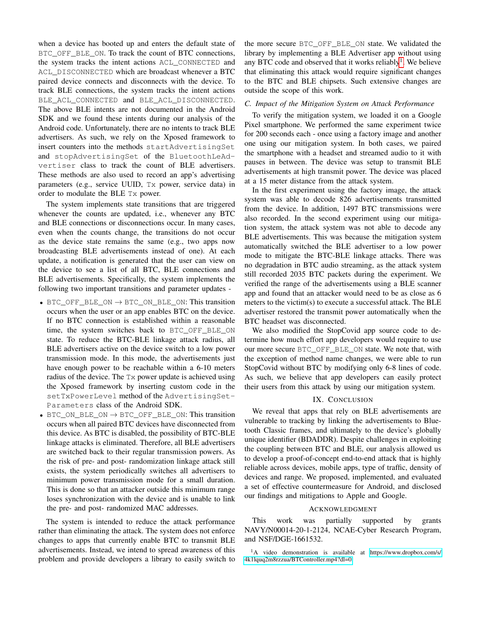when a device has booted up and enters the default state of BTC\_OFF\_BLE\_ON. To track the count of BTC connections, the system tracks the intent actions ACL\_CONNECTED and ACL\_DISCONNECTED which are broadcast whenever a BTC paired device connects and disconnects with the device. To track BLE connections, the system tracks the intent actions BLE\_ACL\_CONNECTED and BLE\_ACL\_DISCONNECTED. The above BLE intents are not documented in the Android SDK and we found these intents during our analysis of the Android code. Unfortunately, there are no intents to track BLE advertisers. As such, we rely on the Xposed framework to insert counters into the methods startAdvertisingSet and stopAdvertisingSet of the BluetoothLeAdvertiser class to track the count of BLE advertisers. These methods are also used to record an app's advertising parameters (e.g., service UUID, Tx power, service data) in order to modulate the BLE Tx power.

The system implements state transitions that are triggered whenever the counts are updated, i.e., whenever any BTC and BLE connections or disconnections occur. In many cases, even when the counts change, the transitions do not occur as the device state remains the same (e.g., two apps now broadcasting BLE advertisements instead of one). At each update, a notification is generated that the user can view on the device to see a list of all BTC, BLE connections and BLE advertisements. Specifically, the system implements the following two important transitions and parameter updates -

- BTC\_OFF\_BLE\_ON  $\rightarrow$  BTC\_ON\_BLE\_ON: This transition occurs when the user or an app enables BTC on the device. If no BTC connection is established within a reasonable time, the system switches back to BTC\_OFF\_BLE\_ON state. To reduce the BTC-BLE linkage attack radius, all BLE advertisers active on the device switch to a low power transmission mode. In this mode, the advertisements just have enough power to be reachable within a 6-10 meters radius of the device. The Tx power update is achieved using the Xposed framework by inserting custom code in the setTxPowerLevel method of the AdvertisingSet-Parameters class of the Android SDK.
- BTC\_ON\_BLE\_ON  $\rightarrow$  BTC\_OFF\_BLE\_ON: This transition occurs when all paired BTC devices have disconnected from this device. As BTC is disabled, the possibility of BTC-BLE linkage attacks is eliminated. Therefore, all BLE advertisers are switched back to their regular transmission powers. As the risk of pre- and post- randomization linkage attack still exists, the system periodically switches all advertisers to minimum power transmission mode for a small duration. This is done so that an attacker outside this minimum range loses synchronization with the device and is unable to link the pre- and post- randomized MAC addresses.

The system is intended to reduce the attack performance rather than eliminating the attack. The system does not enforce changes to apps that currently enable BTC to transmit BLE advertisements. Instead, we intend to spread awareness of this problem and provide developers a library to easily switch to the more secure BTC\_OFF\_BLE\_ON state. We validated the library by implementing a BLE Advertiser app without using any BTC code and observed that it works reliably<sup>[1](#page-12-0)</sup>. We believe that eliminating this attack would require significant changes to the BTC and BLE chipsets. Such extensive changes are outside the scope of this work.

#### *C. Impact of the Mitigation System on Attack Performance*

To verify the mitigation system, we loaded it on a Google Pixel smartphone. We performed the same experiment twice for 200 seconds each - once using a factory image and another one using our mitigation system. In both cases, we paired the smartphone with a headset and streamed audio to it with pauses in between. The device was setup to transmit BLE advertisements at high transmit power. The device was placed at a 15 meter distance from the attack system.

In the first experiment using the factory image, the attack system was able to decode 826 advertisements transmitted from the device. In addition, 1497 BTC transmissions were also recorded. In the second experiment using our mitigation system, the attack system was not able to decode any BLE advertisements. This was because the mitigation system automatically switched the BLE advertiser to a low power mode to mitigate the BTC-BLE linkage attacks. There was no degradation in BTC audio streaming, as the attack system still recorded 2035 BTC packets during the experiment. We verified the range of the advertisements using a BLE scanner app and found that an attacker would need to be as close as 6 meters to the victim(s) to execute a successful attack. The BLE advertiser restored the transmit power automatically when the BTC headset was disconnected.

We also modified the StopCovid app source code to determine how much effort app developers would require to use our more secure BTC\_OFF\_BLE\_ON state. We note that, with the exception of method name changes, we were able to run StopCovid without BTC by modifying only 6-8 lines of code. As such, we believe that app developers can easily protect their users from this attack by using our mitigation system.

#### IX. CONCLUSION

We reveal that apps that rely on BLE advertisements are vulnerable to tracking by linking the advertisements to Bluetooth Classic frames, and ultimately to the device's globally unique identifier (BDADDR). Despite challenges in exploiting the coupling between BTC and BLE, our analysis allowed us to develop a proof-of-concept end-to-end attack that is highly reliable across devices, mobile apps, type of traffic, density of devices and range. We proposed, implemented, and evaluated a set of effective countermeasure for Android, and disclosed our findings and mitigations to Apple and Google.

#### ACKNOWLEDGMENT

This work was partially supported by grants NAVY/N00014-20-1-2124, NCAE-Cyber Research Program, and NSF/DGE-1661532.

<span id="page-12-0"></span><sup>1</sup>A video demonstration is available at [https://www.dropbox.com/s/](https://www.dropbox.com/s/4k1lquq2m8rzzua/BTController.mp4?dl=0) [4k1lquq2m8rzzua/BTController.mp4?dl=0.](https://www.dropbox.com/s/4k1lquq2m8rzzua/BTController.mp4?dl=0)